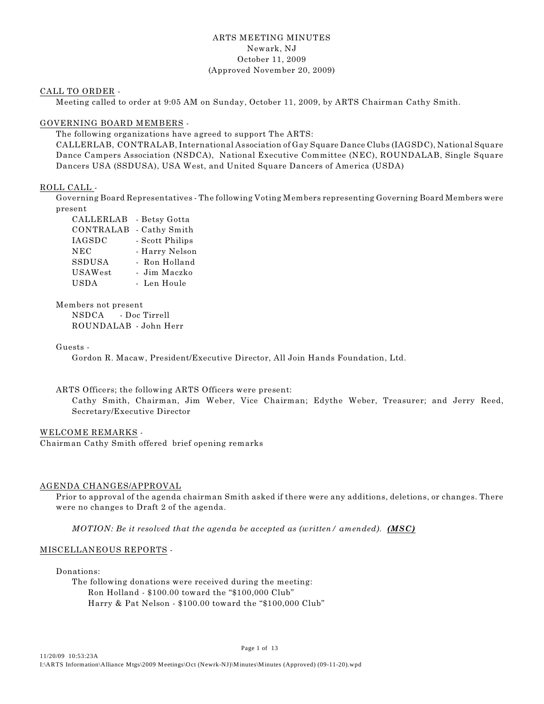## ARTS MEETING MINUTES Newark, NJ October 11, 2009 (Approved November 20, 2009)

#### CALL TO ORDER -

Meeting called to order at 9:05 AM on Sunday, October 11, 2009, by ARTS Chairman Cathy Smith.

## GOVERNING BOARD MEMBERS -

The following organizations have agreed to support The ARTS:

CALLERLAB, CONTRALAB, International Association of Gay Square Dance Clubs (IAGSDC), National Square Dance Campers Association (NSDCA), National Executive Committee (NEC), ROUNDALAB, Single Square Dancers USA (SSDUSA), USA West, and United Square Dancers of America (USDA)

## ROLL CALL -

Governing Board Representatives - The following Voting Members representing Governing Board Members were present

| CALLERLAB   | - Betsy Gotta   |
|-------------|-----------------|
| CONTRALAB   | - Cathy Smith   |
| IAGSDC      | - Scott Philips |
| <b>NEC</b>  | - Harry Nelson  |
| SSDUSA      | - Ron Holland   |
| USAWest     | - Jim Maczko    |
| <b>USDA</b> | - Len Houle     |

## Members not present

NSDCA - Doc Tirrell ROUNDALAB - John Herr

## Guests -

Gordon R. Macaw, President/Executive Director, All Join Hands Foundation, Ltd.

#### ARTS Officers; the following ARTS Officers were present:

Cathy Smith, Chairman, Jim Weber, Vice Chairman; Edythe Weber, Treasurer; and Jerry Reed, Secretary/Executive Director

#### WELCOME REMARKS -

Chairman Cathy Smith offered brief opening remarks

# AGENDA CHANGES/APPROVAL

Prior to approval of the agenda chairman Smith asked if there were any additions, deletions, or changes. There were no changes to Draft 2 of the agenda.

*MOTION: Be it resolved that the agenda be accepted as (written/ amended). (MSC)*

# MISCELLANEOUS REPORTS -

Donations:

The following donations were received during the meeting: Ron Holland - \$100.00 toward the "\$100,000 Club" Harry & Pat Nelson - \$100.00 toward the "\$100,000 Club"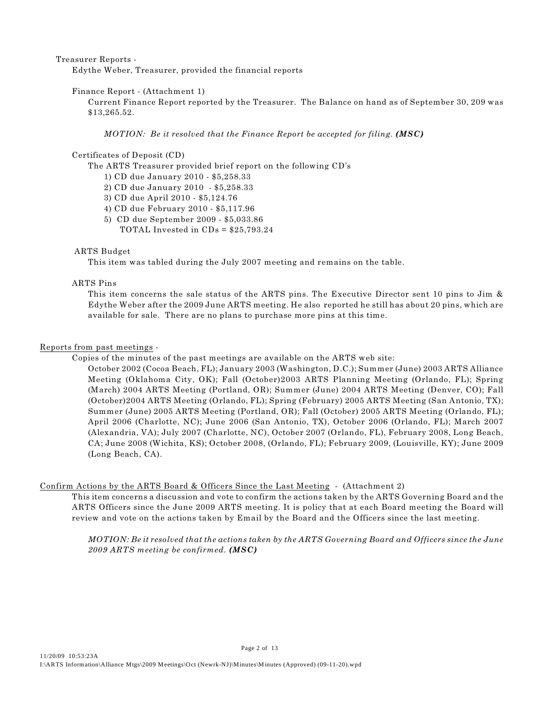#### Treasurer Reports -

Edythe Weber, Treasurer, provided the financial reports

#### Finance Report - (Attachment 1)

Current Finance Report reported by the Treasurer. The Balance on hand as of September 30, 209 was \$13,265.52.

*MOTION: Be it resolved that the Finance Report be accepted for filing. (MSC)*

#### Certificates of Deposit (CD)

The ARTS Treasurer provided brief report on the following CD's

- 1) CD due January 2010 \$5,258.33
- 2) CD due January 2010 \$5,258.33
- 3) CD due April 2010 \$5,124.76
- 4) CD due February 2010 \$5,117.96
- 5) CD due September 2009 \$5,033.86
	- TOTAL Invested in  $CDs = $25,793.24$

## ARTS Budget

This item was tabled during the July 2007 meeting and remains on the table.

#### ARTS Pins

This item concerns the sale status of the ARTS pins. The Executive Director sent 10 pins to Jim & Edythe Weber after the 2009 June ARTS meeting. He also reported he still has about 20 pins, which are available for sale. There are no plans to purchase more pins at this time.

# Reports from past meetings -

Copies of the minutes of the past meetings are available on the ARTS web site:

October 2002 (Cocoa Beach, FL); January 2003 (Washington, D.C.); Summer (June) 2003 ARTS Alliance Meeting (Oklahoma City, OK); Fall (October)2003 ARTS Planning Meeting (Orlando, FL); Spring (March) 2004 ARTS Meeting (Portland, OR); Summer (June) 2004 ARTS Meeting (Denver, CO); Fall (October)2004 ARTS Meeting (Orlando, FL); Spring (February) 2005 ARTS Meeting (San Antonio, TX); Summer (June) 2005 ARTS Meeting (Portland, OR); Fall (October) 2005 ARTS Meeting (Orlando, FL); April 2006 (Charlotte, NC); June 2006 (San Antonio, TX), October 2006 (Orlando, FL); March 2007 (Alexandria, VA); July 2007 (Charlotte, NC), October 2007 (Orlando, FL), February 2008, Long Beach, CA; June 2008 (Wichita, KS); October 2008, (Orlando, FL); February 2009, (Louisville, KY); June 2009 (Long Beach, CA).

#### Confirm Actions by the ARTS Board & Officers Since the Last Meeting - (Attachment 2)

This item concerns a discussion and vote to confirm the actions taken by the ARTS Governing Board and the ARTS Officers since the June 2009 ARTS meeting. It is policy that at each Board meeting the Board will review and vote on the actions taken by Email by the Board and the Officers since the last meeting.

*MOTION: Be it resolved that the actions taken by the ARTS Governing Board and Officers since the June 2009 ARTS meeting be confirmed. (MSC)*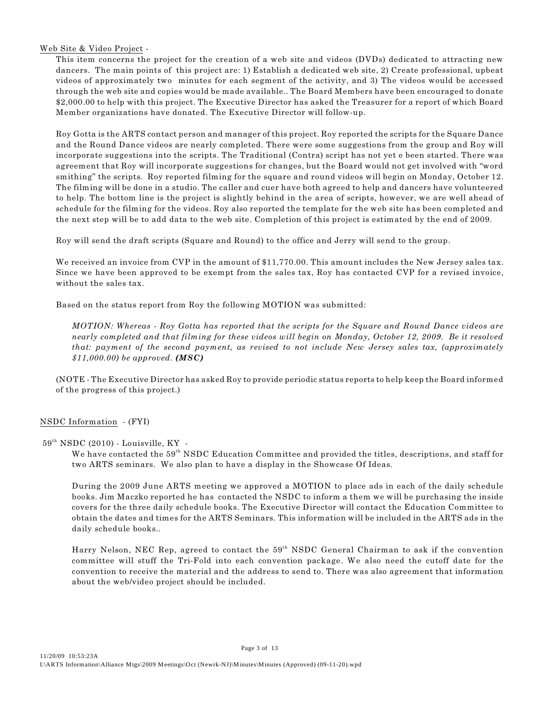## Web Site & Video Project -

This item concerns the project for the creation of a web site and videos (DVDs) dedicated to attracting new dancers. The main points of this project are: 1) Establish a dedicated web site, 2) Create professional, upbeat videos of approximately two minutes for each segment of the activity, and 3) The videos would be accessed through the web site and copies would be made available.. The Board Members have been encouraged to donate \$2,000.00 to help with this project. The Executive Director has asked the Treasurer for a report of which Board Member organizations have donated. The Executive Director will follow-up.

Roy Gotta is the ARTS contact person and manager of this project. Roy reported the scripts for the Square Dance and the Round Dance videos are nearly completed. There were some suggestions from the group and Roy will incorporate suggestions into the scripts. The Traditional (Contra) script has not yet e been started. There was agreement that Roy will incorporate suggestions for changes, but the Board would not get involved with "word smithing" the scripts. Roy reported filming for the square and round videos will begin on Monday, October 12. The filming will be done in a studio. The caller and cuer have both agreed to help and dancers have volunteered to help. The bottom line is the project is slightly behind in the area of scripts, however, we are well ahead of schedule for the filming for the videos. Roy also reported the template for the web site has been completed and the next step will be to add data to the web site. Completion of this project is estimated by the end of 2009.

Roy will send the draft scripts (Square and Round) to the office and Jerry will send to the group.

We received an invoice from CVP in the amount of \$11,770.00. This amount includes the New Jersey sales tax. Since we have been approved to be exempt from the sales tax, Roy has contacted CVP for a revised invoice, without the sales tax.

Based on the status report from Roy the following MOTION was submitted:

*MOTION: Whereas - Roy Gotta has reported that the scripts for the Square and Round Dance videos are nearly completed and that filming for these videos will begin on Monday, October 12, 2009. Be it resolved that: payment of the second payment, as revised to not include New Jersey sales tax, (approximately \$11,000.00) be approved. (MSC)*

(NOTE - The Executive Director has asked Roy to provide periodic status reports to help keep the Board informed of the progress of this project.)

# NSDC Information - (FYI)

# $59<sup>th</sup> NSDC (2010)$  - Louisville, KY -

We have contacted the 59<sup>th</sup> NSDC Education Committee and provided the titles, descriptions, and staff for two ARTS seminars. We also plan to have a display in the Showcase Of Ideas.

During the 2009 June ARTS meeting we approved a MOTION to place ads in each of the daily schedule books. Jim Maczko reported he has contacted the NSDC to inform a them we will be purchasing the inside covers for the three daily schedule books. The Executive Director will contact the Education Committee to obtain the dates and times for the ARTS Seminars. This information will be included in the ARTS ads in the daily schedule books..

Harry Nelson, NEC Rep, agreed to contact the 59<sup>th</sup> NSDC General Chairman to ask if the convention committee will stuff the Tri-Fold into each convention package. We also need the cutoff date for the convention to receive the material and the address to send to. There was also agreement that information about the web/video project should be included.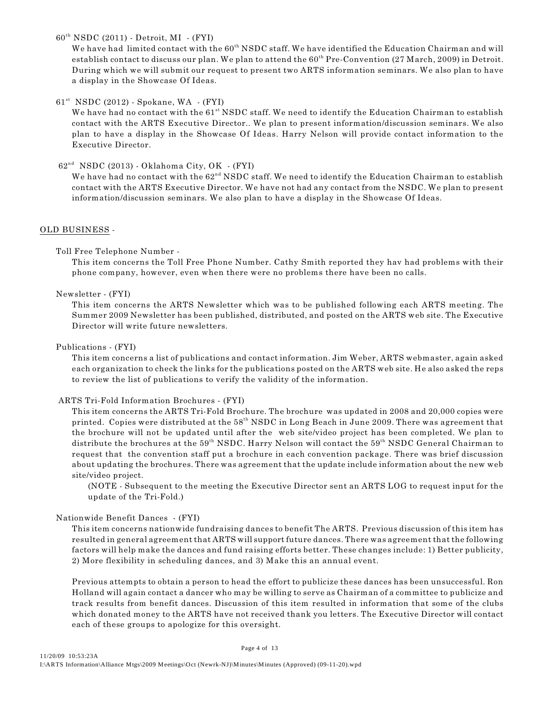$60<sup>th</sup> NSDC (2011) - Detroit, MI - (FYI)$ 

We have had limited contact with the  $60<sup>th</sup> NSDC$  staff. We have identified the Education Chairman and will establish contact to discuss our plan. We plan to attend the  $60<sup>th</sup>$  Pre-Convention (27 March, 2009) in Detroit. During which we will submit our request to present two ARTS information seminars. We also plan to have a display in the Showcase Of Ideas.

 $61^{\rm st}$  NSDC (2012) - Spokane, WA  $\,$  - (FYI)

We have had no contact with the  $61^{st}$  NSDC staff. We need to identify the Education Chairman to establish contact with the ARTS Executive Director.. We plan to present information/discussion seminars. We also plan to have a display in the Showcase Of Ideas. Harry Nelson will provide contact information to the Executive Director.

 $62<sup>nd</sup> NSDC (2013) - Oklahoma City, OK - (FYI)$ 

We have had no contact with the  $62<sup>nd</sup> NSDC$  staff. We need to identify the Education Chairman to establish contact with the ARTS Executive Director. We have not had any contact from the NSDC. We plan to present information/discussion seminars. We also plan to have a display in the Showcase Of Ideas.

#### OLD BUSINESS -

## Toll Free Telephone Number -

This item concerns the Toll Free Phone Number. Cathy Smith reported they hav had problems with their phone company, however, even when there were no problems there have been no calls.

#### Newsletter - (FYI)

This item concerns the ARTS Newsletter which was to be published following each ARTS meeting. The Summer 2009 Newsletter has been published, distributed, and posted on the ARTS web site. The Executive Director will write future newsletters.

#### Publications - (FYI)

This item concerns a list of publications and contact information. Jim Weber, ARTS webmaster, again asked each organization to check the links for the publications posted on the ARTS web site. He also asked the reps to review the list of publications to verify the validity of the information.

#### ARTS Tri-Fold Information Brochures - (FYI)

This item concerns the ARTS Tri-Fold Brochure. The brochure was updated in 2008 and 20,000 copies were printed. Copies were distributed at the  $58<sup>th</sup> NSDC$  in Long Beach in June 2009. There was agreement that the brochure will not be updated until after the web site/video project has been completed. We plan to distribute the brochures at the  $59<sup>th</sup>$  NSDC. Harry Nelson will contact the  $59<sup>th</sup>$  NSDC General Chairman to request that the convention staff put a brochure in each convention package. There was brief discussion about updating the brochures. There was agreement that the update include information about the new web site/video project.

(NOTE - Subsequent to the meeting the Executive Director sent an ARTS LOG to request input for the update of the Tri-Fold.)

#### Nationwide Benefit Dances - (FYI)

This item concerns nationwide fundraising dances to benefit The ARTS. Previous discussion of this item has resulted in general agreement that ARTS will support future dances. There was agreement that the following factors will help make the dances and fund raising efforts better. These changes include: 1) Better publicity, 2) More flexibility in scheduling dances, and 3) Make this an annual event.

Previous attempts to obtain a person to head the effort to publicize these dances has been unsuccessful. Ron Holland will again contact a dancer who may be willing to serve as Chairman of a committee to publicize and track results from benefit dances. Discussion of this item resulted in information that some of the clubs which donated money to the ARTS have not received thank you letters. The Executive Director will contact each of these groups to apologize for this oversight.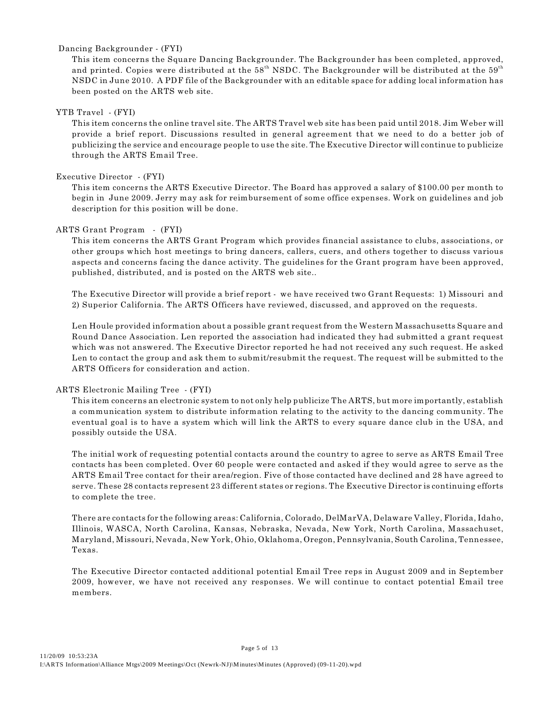## Dancing Backgrounder - (FYI)

This item concerns the Square Dancing Backgrounder. The Backgrounder has been completed, approved, and printed. Copies were distributed at the  $58<sup>th</sup>$  NSDC. The Backgrounder will be distributed at the  $59<sup>th</sup>$ NSDC in June 2010. A PDF file of the Backgrounder with an editable space for adding local information has been posted on the ARTS web site.

#### YTB Travel - (FYI)

This item concerns the online travel site. The ARTS Travel web site has been paid until 2018. Jim Weber will provide a brief report. Discussions resulted in general agreement that we need to do a better job of publicizing the service and encourage people to use the site. The Executive Director will continue to publicize through the ARTS Email Tree.

## Executive Director - (FYI)

This item concerns the ARTS Executive Director. The Board has approved a salary of \$100.00 per month to begin in June 2009. Jerry may ask for reimbursement of some office expenses. Work on guidelines and job description for this position will be done.

## ARTS Grant Program - (FYI)

This item concerns the ARTS Grant Program which provides financial assistance to clubs, associations, or other groups which host meetings to bring dancers, callers, cuers, and others together to discuss various aspects and concerns facing the dance activity. The guidelines for the Grant program have been approved, published, distributed, and is posted on the ARTS web site..

The Executive Director will provide a brief report - we have received two Grant Requests: 1) Missouri and 2) Superior California. The ARTS Officers have reviewed, discussed, and approved on the requests.

Len Houle provided information about a possible grant request from the Western Massachusetts Square and Round Dance Association. Len reported the association had indicated they had submitted a grant request which was not answered. The Executive Director reported he had not received any such request. He asked Len to contact the group and ask them to submit/resubmit the request. The request will be submitted to the ARTS Officers for consideration and action.

#### ARTS Electronic Mailing Tree - (FYI)

This item concerns an electronic system to not only help publicize The ARTS, but more importantly, establish a communication system to distribute information relating to the activity to the dancing community. The eventual goal is to have a system which will link the ARTS to every square dance club in the USA, and possibly outside the USA.

The initial work of requesting potential contacts around the country to agree to serve as ARTS Email Tree contacts has been completed. Over 60 people were contacted and asked if they would agree to serve as the ARTS Email Tree contact for their area/region. Five of those contacted have declined and 28 have agreed to serve. These 28 contacts represent 23 different states or regions. The Executive Director is continuing efforts to complete the tree.

There are contacts for the following areas: California, Colorado, DelMarVA, Delaware Valley, Florida, Idaho, Illinois, WASCA, North Carolina, Kansas, Nebraska, Nevada, New York, North Carolina, Massachuset, Maryland, Missouri, Nevada, New York, Ohio, Oklahoma, Oregon, Pennsylvania, South Carolina, Tennessee, Texas.

The Executive Director contacted additional potential Email Tree reps in August 2009 and in September 2009, however, we have not received any responses. We will continue to contact potential Email tree members.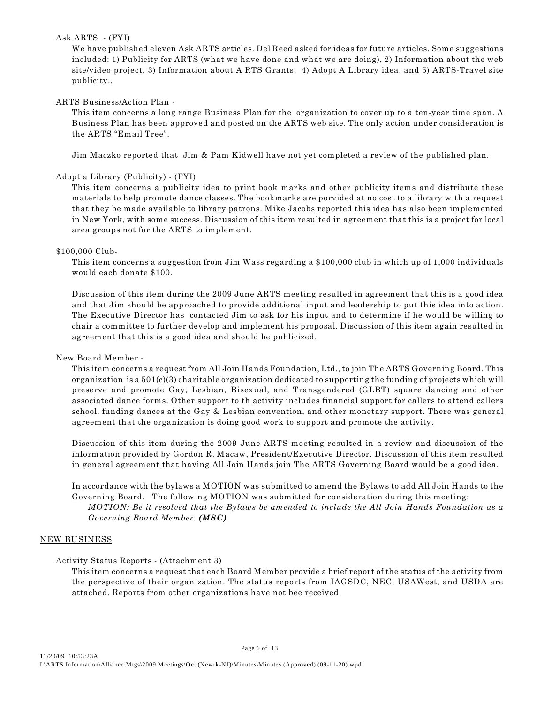#### Ask ARTS - (FYI)

We have published eleven Ask ARTS articles. Del Reed asked for ideas for future articles. Some suggestions included: 1) Publicity for ARTS (what we have done and what we are doing), 2) Information about the web site/video project, 3) Information about A RTS Grants, 4) Adopt A Library idea, and 5) ARTS-Travel site publicity..

## ARTS Business/Action Plan -

This item concerns a long range Business Plan for the organization to cover up to a ten-year time span. A Business Plan has been approved and posted on the ARTS web site. The only action under consideration is the ARTS "Email Tree".

Jim Maczko reported that Jim & Pam Kidwell have not yet completed a review of the published plan.

## Adopt a Library (Publicity) - (FYI)

This item concerns a publicity idea to print book marks and other publicity items and distribute these materials to help promote dance classes. The bookmarks are porvided at no cost to a library with a request that they be made available to library patrons. Mike Jacobs reported this idea has also been implemented in New York, with some success. Discussion of this item resulted in agreement that this is a project for local area groups not for the ARTS to implement.

## \$100,000 Club-

This item concerns a suggestion from Jim Wass regarding a \$100,000 club in which up of 1,000 individuals would each donate \$100.

Discussion of this item during the 2009 June ARTS meeting resulted in agreement that this is a good idea and that Jim should be approached to provide additional input and leadership to put this idea into action. The Executive Director has contacted Jim to ask for his input and to determine if he would be willing to chair a committee to further develop and implement his proposal. Discussion of this item again resulted in agreement that this is a good idea and should be publicized.

# New Board Member -

This item concerns a request from All Join Hands Foundation, Ltd., to join The ARTS Governing Board. This organization is a 501(c)(3) charitable organization dedicated to supporting the funding of projects which will preserve and promote Gay, Lesbian, Bisexual, and Transgendered (GLBT) square dancing and other associated dance forms. Other support to th activity includes financial support for callers to attend callers school, funding dances at the Gay & Lesbian convention, and other monetary support. There was general agreement that the organization is doing good work to support and promote the activity.

Discussion of this item during the 2009 June ARTS meeting resulted in a review and discussion of the information provided by Gordon R. Macaw, President/Executive Director. Discussion of this item resulted in general agreement that having All Join Hands join The ARTS Governing Board would be a good idea.

In accordance with the bylaws a MOTION was submitted to amend the Bylaws to add All Join Hands to the Governing Board. The following MOTION was submitted for consideration during this meeting: *MOTION: Be it resolved that the Bylaws be amended to include the All Join Hands Foundation as a Governing Board Member. (MSC)*

#### NEW BUSINESS

#### Activity Status Reports - (Attachment 3)

This item concerns a request that each Board Member provide a brief report of the status of the activity from the perspective of their organization. The status reports from IAGSDC, NEC, USAWest, and USDA are attached. Reports from other organizations have not bee received

Page 6 of 13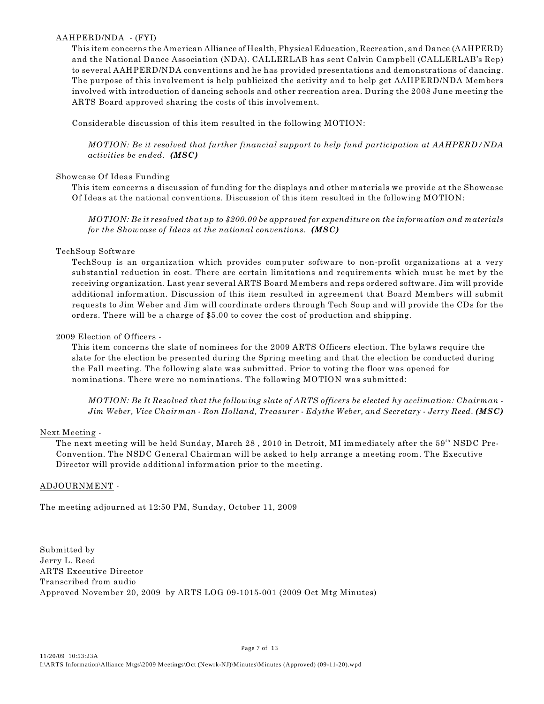#### AAHPERD/NDA - (FYI)

This item concerns the American Alliance of Health, Physical Education, Recreation, and Dance (AAHPERD) and the National Dance Association (NDA). CALLERLAB has sent Calvin Campbell (CALLERLAB's Rep) to several AAHPERD/NDA conventions and he has provided presentations and demonstrations of dancing. The purpose of this involvement is help publicized the activity and to help get AAHPERD/NDA Members involved with introduction of dancing schools and other recreation area. During the 2008 June meeting the ARTS Board approved sharing the costs of this involvement.

Considerable discussion of this item resulted in the following MOTION:

*MOTION: Be it resolved that further financial support to help fund participation at AAHPERD/NDA activities be ended. (MSC)*

## Showcase Of Ideas Funding

This item concerns a discussion of funding for the displays and other materials we provide at the Showcase Of Ideas at the national conventions. Discussion of this item resulted in the following MOTION:

*MOTION: Be it resolved that up to \$200.00 be approved for expenditure on the information and materials for the Showcase of Ideas at the national conventions. (MSC)*

## TechSoup Software

TechSoup is an organization which provides computer software to non-profit organizations at a very substantial reduction in cost. There are certain limitations and requirements which must be met by the receiving organization. Last year several ARTS Board Members and reps ordered software. Jim will provide additional information. Discussion of this item resulted in agreement that Board Members will submit requests to Jim Weber and Jim will coordinate orders through Tech Soup and will provide the CDs for the orders. There will be a charge of \$5.00 to cover the cost of production and shipping.

# 2009 Election of Officers -

This item concerns the slate of nominees for the 2009 ARTS Officers election. The bylaws require the slate for the election be presented during the Spring meeting and that the election be conducted during the Fall meeting. The following slate was submitted. Prior to voting the floor was opened for nominations. There were no nominations. The following MOTION was submitted:

*MOTION: Be It Resolved that the following slate of ARTS officers be elected hy acclimation: Chairman - Jim Weber, Vice Chairman - Ron Holland, Treasurer - Edythe Weber, and Secretary - Jerry Reed. (MSC)*

# Next Meeting -

The next meeting will be held Sunday, March 28, 2010 in Detroit, MI immediately after the 59<sup>th</sup> NSDC Pre-Convention. The NSDC General Chairman will be asked to help arrange a meeting room. The Executive Director will provide additional information prior to the meeting.

#### ADJOURNMENT -

The meeting adjourned at 12:50 PM, Sunday, October 11, 2009

Submitted by Jerry L. Reed ARTS Executive Director Transcribed from audio Approved November 20, 2009 by ARTS LOG 09-1015-001 (2009 Oct Mtg Minutes)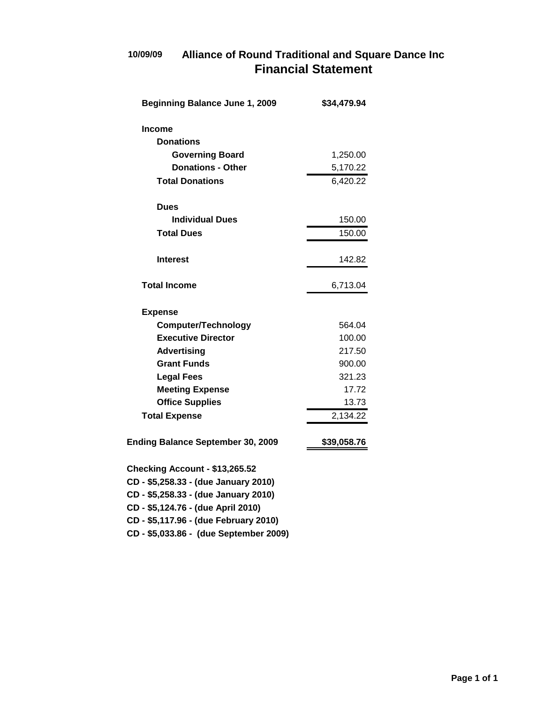# **10/09/09 Alliance of Round Traditional and Square Dance Inc Financial Statement**

| <b>Beginning Balance June 1, 2009</b>                                                                                                                                                         | \$34,479.94 |
|-----------------------------------------------------------------------------------------------------------------------------------------------------------------------------------------------|-------------|
| <b>Income</b>                                                                                                                                                                                 |             |
| <b>Donations</b>                                                                                                                                                                              |             |
| <b>Governing Board</b>                                                                                                                                                                        | 1,250.00    |
| <b>Donations - Other</b>                                                                                                                                                                      | 5,170.22    |
| <b>Total Donations</b>                                                                                                                                                                        | 6,420.22    |
| Dues                                                                                                                                                                                          |             |
| <b>Individual Dues</b>                                                                                                                                                                        | 150.00      |
| <b>Total Dues</b>                                                                                                                                                                             | 150.00      |
| <b>Interest</b>                                                                                                                                                                               | 142.82      |
| <b>Total Income</b>                                                                                                                                                                           | 6,713.04    |
| <b>Expense</b>                                                                                                                                                                                |             |
| <b>Computer/Technology</b>                                                                                                                                                                    | 564.04      |
| <b>Executive Director</b>                                                                                                                                                                     | 100.00      |
| <b>Advertising</b>                                                                                                                                                                            | 217.50      |
| <b>Grant Funds</b>                                                                                                                                                                            | 900.00      |
| <b>Legal Fees</b>                                                                                                                                                                             | 321.23      |
| <b>Meeting Expense</b>                                                                                                                                                                        | 17.72       |
| <b>Office Supplies</b>                                                                                                                                                                        | 13.73       |
| <b>Total Expense</b>                                                                                                                                                                          | 2,134.22    |
| <b>Ending Balance September 30, 2009</b>                                                                                                                                                      | \$39,058.76 |
| Checking Account - \$13,265.52<br>CD - \$5,258.33 - (due January 2010)<br>CD - \$5,258.33 - (due January 2010)<br>CD - \$5,124.76 - (due April 2010)<br>CD - \$5,117.96 - (due February 2010) |             |
|                                                                                                                                                                                               |             |

**CD - \$5,033.86 - (due September 2009)**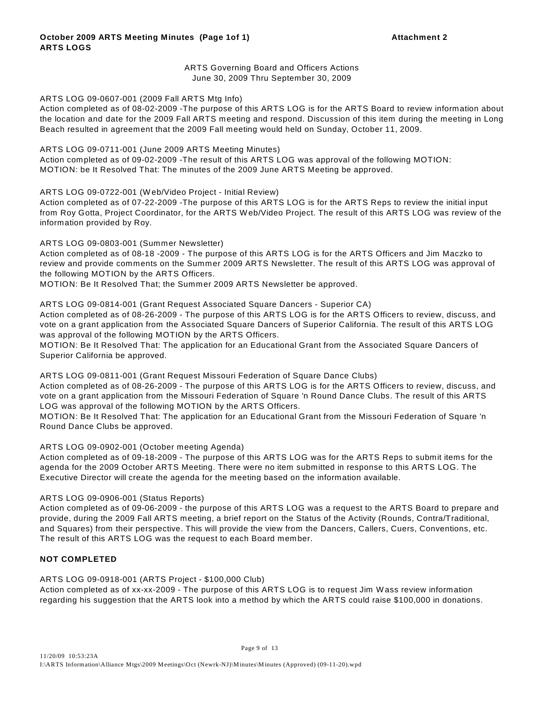#### ARTS Governing Board and Officers Actions June 30, 2009 Thru September 30, 2009

## ARTS LOG 09-0607-001 (2009 Fall ARTS Mtg Info)

Action completed as of 08-02-2009 -The purpose of this ARTS LOG is for the ARTS Board to review information about the location and date for the 2009 Fall ARTS meeting and respond. Discussion of this item during the meeting in Long Beach resulted in agreement that the 2009 Fall meeting would held on Sunday, October 11, 2009.

## ARTS LOG 09-0711-001 (June 2009 ARTS Meeting Minutes)

Action completed as of 09-02-2009 -The result of this ARTS LOG was approval of the following MOTION: MOTION: be It Resolved That: The minutes of the 2009 June ARTS Meeting be approved.

## ARTS LOG 09-0722-001 (W eb/Video Project - Initial Review)

Action completed as of 07-22-2009 -The purpose of this ARTS LOG is for the ARTS Reps to review the initial input from Roy Gotta, Project Coordinator, for the ARTS W eb/Video Project. The result of this ARTS LOG was review of the information provided by Roy.

ARTS LOG 09-0803-001 (Summer Newsletter)

Action completed as of 08-18 -2009 - The purpose of this ARTS LOG is for the ARTS Officers and Jim Maczko to review and provide comments on the Summer 2009 ARTS Newsletter. The result of this ARTS LOG was approval of the following MOTION by the ARTS Officers.

MOTION: Be It Resolved That; the Summer 2009 ARTS Newsletter be approved.

## ARTS LOG 09-0814-001 (Grant Request Associated Square Dancers - Superior CA)

Action completed as of 08-26-2009 - The purpose of this ARTS LOG is for the ARTS Officers to review, discuss, and vote on a grant application from the Associated Square Dancers of Superior California. The result of this ARTS LOG was approval of the following MOTION by the ARTS Officers.

MOTION: Be It Resolved That: The application for an Educational Grant from the Associated Square Dancers of Superior California be approved.

ARTS LOG 09-0811-001 (Grant Request Missouri Federation of Square Dance Clubs)

Action completed as of 08-26-2009 - The purpose of this ARTS LOG is for the ARTS Officers to review, discuss, and vote on a grant application from the Missouri Federation of Square 'n Round Dance Clubs. The result of this ARTS LOG was approval of the following MOTION by the ARTS Officers.

MOTION: Be It Resolved That: The application for an Educational Grant from the Missouri Federation of Square 'n Round Dance Clubs be approved.

#### ARTS LOG 09-0902-001 (October meeting Agenda)

Action completed as of 09-18-2009 - The purpose of this ARTS LOG was for the ARTS Reps to submit items for the agenda for the 2009 October ARTS Meeting. There were no item submitted in response to this ARTS LOG. The Executive Director will create the agenda for the meeting based on the information available.

#### ARTS LOG 09-0906-001 (Status Reports)

Action completed as of 09-06-2009 - the purpose of this ARTS LOG was a request to the ARTS Board to prepare and provide, during the 2009 Fall ARTS meeting, a brief report on the Status of the Activity (Rounds, Contra/Traditional, and Squares) from their perspective. This will provide the view from the Dancers, Callers, Cuers, Conventions, etc. The result of this ARTS LOG was the request to each Board member.

# **NOT COMPLETED**

#### ARTS LOG 09-0918-001 (ARTS Project - \$100,000 Club)

Action completed as of xx-xx-2009 - The purpose of this ARTS LOG is to request Jim W ass review information regarding his suggestion that the ARTS look into a method by which the ARTS could raise \$100,000 in donations.

Page 9 of 13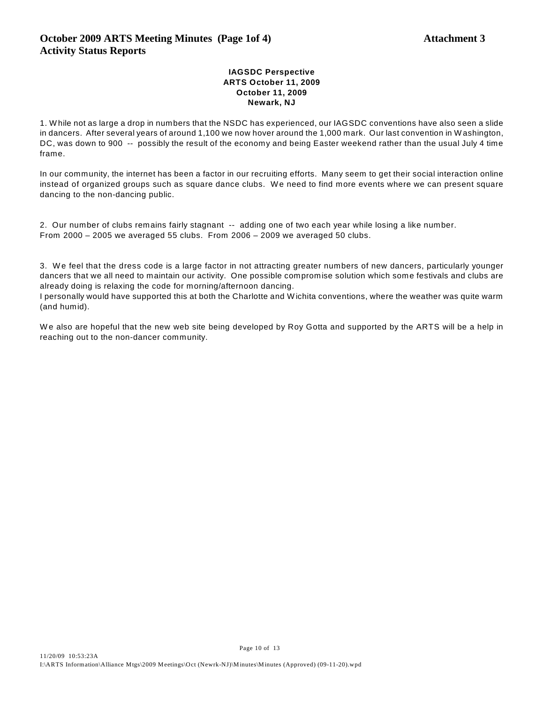# **IAGSDC Perspective ARTS October 11, 2009 October 11, 2009 Newark, NJ**

1. W hile not as large a drop in numbers that the NSDC has experienced, our IAGSDC conventions have also seen a slide in dancers. After several years of around 1,100 we now hover around the 1,000 mark. Our last convention in W ashington, DC, was down to 900 -- possibly the result of the economy and being Easter weekend rather than the usual July 4 time frame.

In our community, the internet has been a factor in our recruiting efforts. Many seem to get their social interaction online instead of organized groups such as square dance clubs. We need to find more events where we can present square dancing to the non-dancing public.

2. Our number of clubs remains fairly stagnant -- adding one of two each year while losing a like number. From 2000 – 2005 we averaged 55 clubs. From 2006 – 2009 we averaged 50 clubs.

3. W e feel that the dress code is a large factor in not attracting greater numbers of new dancers, particularly younger dancers that we all need to maintain our activity. One possible compromise solution which some festivals and clubs are already doing is relaxing the code for morning/afternoon dancing.

I personally would have supported this at both the Charlotte and W ichita conventions, where the weather was quite warm (and humid).

W e also are hopeful that the new web site being developed by Roy Gotta and supported by the ARTS will be a help in reaching out to the non-dancer community.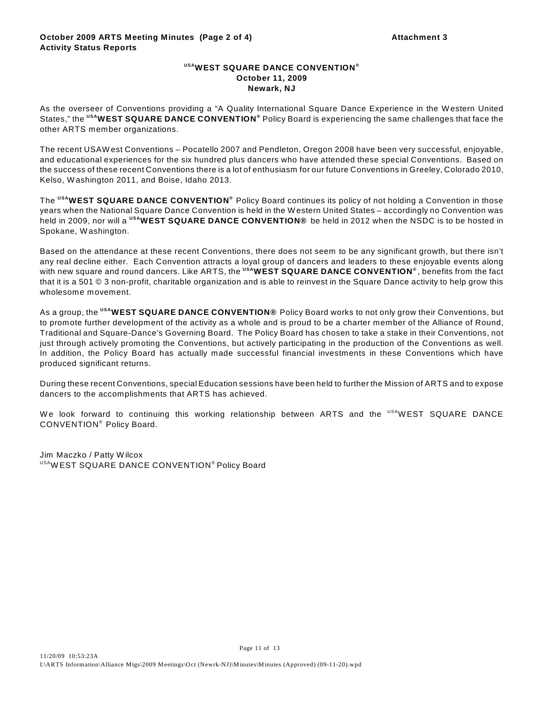# **USAWEST SQUARE DANCE CONVENTION® October 11, 2009 Newark, NJ**

As the overseer of Conventions providing a "A Quality International Square Dance Experience in the W estern United States," the <sup>usa</sup>WEST SQUARE DANCE CONVENTION® Policy Board is experiencing the same challenges that face the other ARTS member organizations.

The recent USAW est Conventions – Pocatello 2007 and Pendleton, Oregon 2008 have been very successful, enjoyable, and educational experiences for the six hundred plus dancers who have attended these special Conventions. Based on the success of these recent Conventions there is a lot of enthusiasm for our future Conventions in Greeley, Colorado 2010, Kelso, W ashington 2011, and Boise, Idaho 2013.

The <sup>usA</sup>WEST SQUARE DANCE CONVENTION<sup>®</sup> Policy Board continues its policy of not holding a Convention in those years when the National Square Dance Convention is held in the W estern United States – accordingly no Convention was held in 2009, nor will a <sup>usA</sup>WEST SQUARE DANCE CONVENTION® be held in 2012 when the NSDC is to be hosted in Spokane, W ashington.

Based on the attendance at these recent Conventions, there does not seem to be any significant growth, but there isn't any real decline either. Each Convention attracts a loyal group of dancers and leaders to these enjoyable events along with new square and round dancers. Like ARTS, the <sup>usa</sup> WEST SQUARE DANCE CONVENTION<sup>®</sup>, benefits from the fact that it is a 501 © 3 non-profit, charitable organization and is able to reinvest in the Square Dance activity to help grow this wholesome movement.

As a group, the **WEST SQUARE DANCE CONVENTION®** Policy Board works to not only grow their Conventions, but **USA** to promote further development of the activity as a whole and is proud to be a charter member of the Alliance of Round, Traditional and Square-Dance's Governing Board. The Policy Board has chosen to take a stake in their Conventions, not just through actively promoting the Conventions, but actively participating in the production of the Conventions as well. In addition, the Policy Board has actually made successful financial investments in these Conventions which have produced significant returns.

During these recent Conventions, special Education sessions have been held to further the Mission of ARTS and to expose dancers to the accomplishments that ARTS has achieved.

We look forward to continuing this working relationship between ARTS and the <sup>USA</sup>WEST SQUARE DANCE CONVENTION<sup>®</sup> Policy Board.

Jim Maczko / Patty W ilcox USAW EST SQUARE DANCE CONVENTION® Policy Board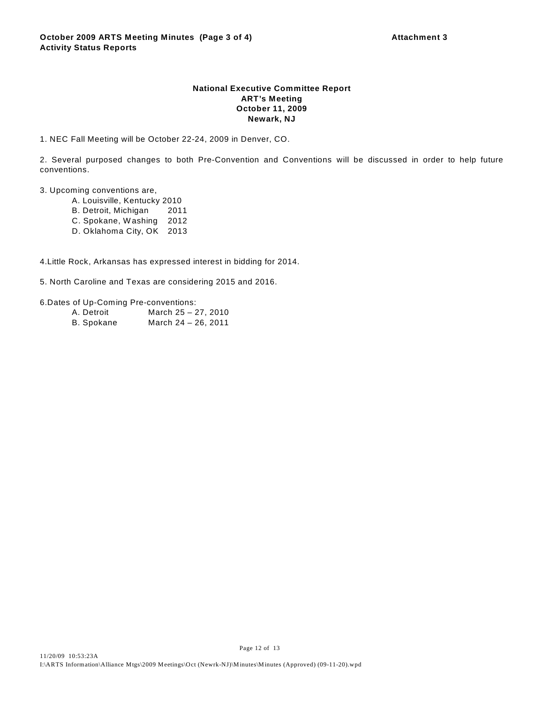# **National Executive Committee Report ART's Meeting October 11, 2009 Newark, NJ**

1. NEC Fall Meeting will be October 22-24, 2009 in Denver, CO.

2. Several purposed changes to both Pre-Convention and Conventions will be discussed in order to help future conventions.

3. Upcoming conventions are,

- A. Louisville, Kentucky 2010
- B. Detroit, Michigan 2011
- C. Spokane, W ashing 2012
- D. Oklahoma City, OK 2013

4.Little Rock, Arkansas has expressed interest in bidding for 2014.

5. North Caroline and Texas are considering 2015 and 2016.

6.Dates of Up-Coming Pre-conventions:

A. Detroit March 25 – 27, 2010<br>B. Spokane March 24 – 26, 2011 March  $24 - 26$ , 2011